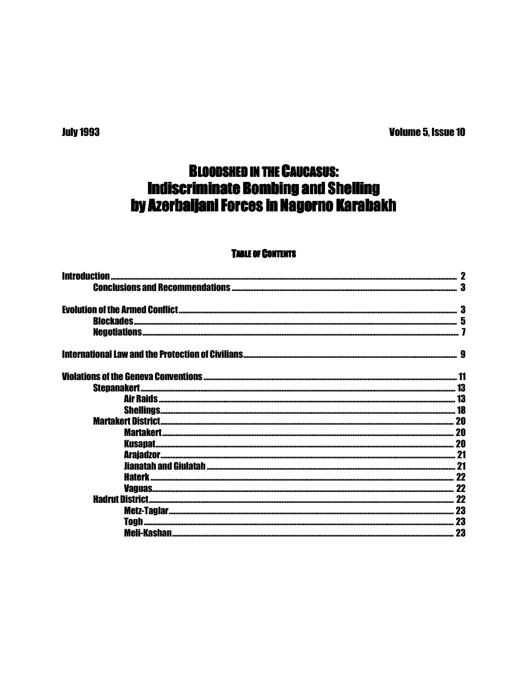**Volume 5, Issue 10** 

# **BLOODSHED IN THE CAUCASUS: Indiscriminate Bombing and Shelling** by Azerbaijani Forces in Nagorno Karabakh

# **TABLE OF CONTENTS**

| 20 |
|----|
| 20 |
|    |
|    |
|    |
|    |
| 22 |
|    |
| 23 |
| 23 |
|    |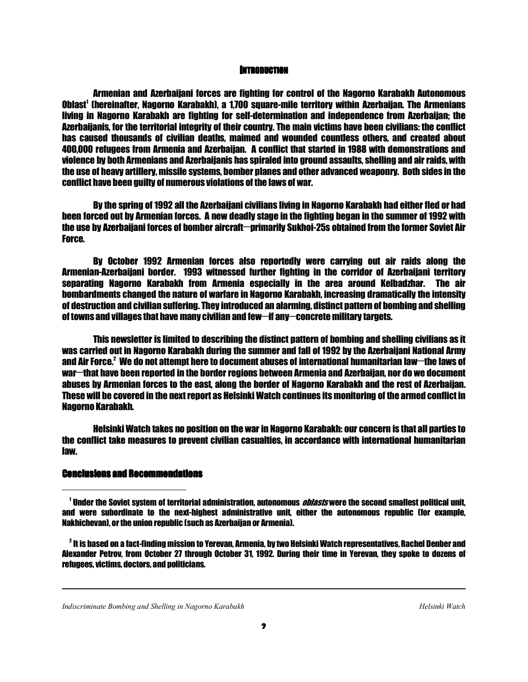#### **INTRODUCTION**

 Armenian and Azerbaijani forces are fighting for control of the Nagorno Karabakh Autonomous Oblast<sup>1</sup> (hereinafter, Nagorno Karabakh), a 1,700 square-mile territory within Azerbaijan. The Armenians living in Nagorno Karabakh are fighting for self-determination and independence from Azerbaijan; the Azerbaijanis, for the territorial integrity of their country. The main victims have been civilians: the conflict has caused thousands of civilian deaths, maimed and wounded countless others, and created about 400,000 refugees from Armenia and Azerbaijan. A conflict that started in 1988 with demonstrations and violence by both Armenians and Azerbaijanis has spiraled into ground assaults, shelling and air raids, with the use of heavy artillery, missile systems, bomber planes and other advanced weaponry. Both sides in the conflict have been guilty of numerous violations of the laws of war.

 By the spring of 1992 all the Azerbaijani civilians living in Nagorno Karabakh had either fled or had been forced out by Armenian forces. A new deadly stage in the fighting began in the summer of 1992 with the use by Azerbaijani forces of bomber aircraft-primarily Sukhoi-25s obtained from the former Soviet Air Force.

 By October 1992 Armenian forces also reportedly were carrying out air raids along the Armenian-Azerbaijani border. 1993 witnessed further fighting in the corridor of Azerbaijani territory separating Nagorno Karabakh from Armenia especially in the area around Kelbadzhar. The air bombardments changed the nature of warfare in Nagorno Karabakh, increasing dramatically the intensity of destruction and civilian suffering. They introduced an alarming, distinct pattern of bombing and shelling of towns and villages that have many civilian and few-if any-concrete military targets.

 This newsletter is limited to describing the distinct pattern of bombing and shelling civilians as it was carried out in Nagorno Karabakh during the summer and fall of 1992 by the Azerbaijani National Army and Air Force.<sup>2</sup> We do not attempt here to document abuses of international humanitarian law—the laws of war—that have been reported in the border regions between Armenia and Azerbaijan, nor do we document abuses by Armenian forces to the east, along the border of Nagorno Karabakh and the rest of Azerbaijan. These will be covered in the next report as Helsinki Watch continues its monitoring of the armed conflict in Nagorno Karabakh.

 Helsinki Watch takes no position on the war in Nagorno Karabakh: our concern is that all parties to the conflict take measures to prevent civilian casualties, in accordance with international humanitarian law.

#### Conclusions and Recommendations Conclusions and Recommendations

1

ֺ

<sup>1</sup> Under the Soviet system of territorial administration, autonomous *oblasts* were the second smallest political unit, and were subordinate to the next-highest administrative unit, either the autonomous republic (for example, Nakhichevan), or the union republic (such as Azerbaijan or Armenia).

 $^{\rm 2}$  It is based on a fact-finding mission to Yerevan, Armenia, by two Helsinki Watch representatives, Rachel Denber and Alexander Petrov, from October 27 through October 31, 1992. During their time in Yerevan, they spoke to dozens of refugees, victims, doctors, and politicians.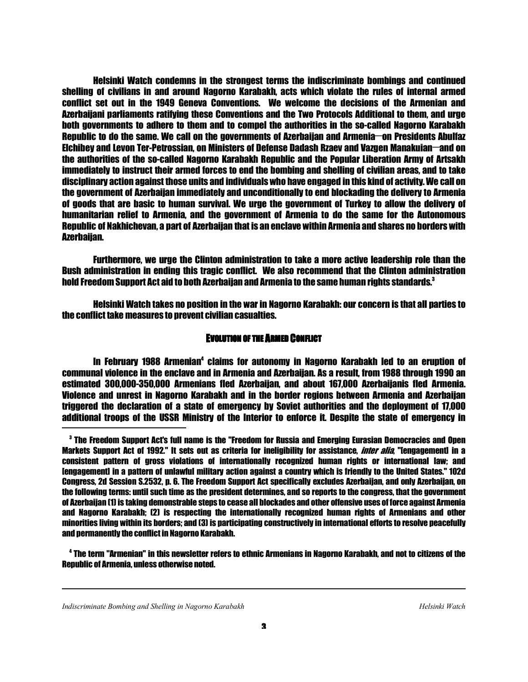Helsinki Watch condemns in the strongest terms the indiscriminate bombings and continued shelling of civilians in and around Nagorno Karabakh, acts which violate the rules of internal armed conflict set out in the 1949 Geneva Conventions. We welcome the decisions of the Armenian and Azerbaijani parliaments ratifying these Conventions and the Two Protocols Additional to them, and urge both governments to adhere to them and to compel the authorities in the so-called Nagorno Karabakh Republic to do the same. We call on the governments of Azerbaijan and Armenia—on Presidents Abulfaz Elchibey and Levon Ter-Petrossian, on Ministers of Defense Dadash Rzaev and Vazgen Manakuian—and on the authorities of the so-called Nagorno Karabakh Republic and the Popular Liberation Army of Artsakh immediately to instruct their armed forces to end the bombing and shelling of civilian areas, and to take disciplinary action against those units and individuals who have engaged in this kind of activity. We call on the government of Azerbaijan immediately and unconditionally to end blockading the delivery to Armenia of goods that are basic to human survival. We urge the government of Turkey to allow the delivery of humanitarian relief to Armenia, and the government of Armenia to do the same for the Autonomous Republic of Nakhichevan, a part of Azerbaijan that is an enclave within Armenia and shares no borders with Azerbaijan.

 Furthermore, we urge the Clinton administration to take a more active leadership role than the Bush administration in ending this tragic conflict. We also recommend that the Clinton administration hold Freedom Support Act aid to both Azerbaijan and Armenia to the same human rights standards.<sup>3</sup>

 Helsinki Watch takes no position in the war in Nagorno Karabakh: our concern is that all parties to the conflict take measures to prevent civilian casualties.

#### EVOLUTION OF THE ARMED CONFLICT

In February 1988 Armenian<sup>4</sup> claims for autonomy in Nagorno Karabakh led to an eruption of communal violence in the enclave and in Armenia and Azerbaijan. As a result, from 1988 through 1990 an estimated 300,000-350,000 Armenians fled Azerbaijan, and about 167,000 Azerbaijanis fled Armenia. Violence and unrest in Nagorno Karabakh and in the border regions between Armenia and Azerbaijan triggered the declaration of a state of emergency by Soviet authorities and the deployment of 17,000 additional troops of the USSR Ministry of the Interior to enforce it. Despite the state of emergency in

4 The term "Armenian" in this newsletter refers to ethnic Armenians in Nagorno Karabakh, and not to citizens of the Republic of Armenia, unless otherwise noted.

1

 $\,^3$  The Freedom Support Act's full name is the "Freedom for Russia and Emerging Eurasian Democracies and Open Markets Support Act of 1992." It sets out as criteria for ineligibility for assistance, *inter alia*, "lengagement] in a consistent pattern of gross violations of internationally recognized human rights or international law; and [engagement] in a pattern of unlawful military action against a country which is friendly to the United States." 102d Congress, 2d Session S.2532, p. 6. The Freedom Support Act specifically excludes Azerbaijan, and only Azerbaijan, on the following terms: until such time as the president determines, and so reports to the congress, that the government of Azerbaijan (1) is taking demonstrable steps to cease all blockades and other offensive uses of force against Armenia and Nagorno Karabakh; (2) is respecting the internationally recognized human rights of Armenians and other minorities living within its borders; and (3) is participating constructively in international efforts to resolve peacefully and permanently the conflict in Nagorno Karabakh.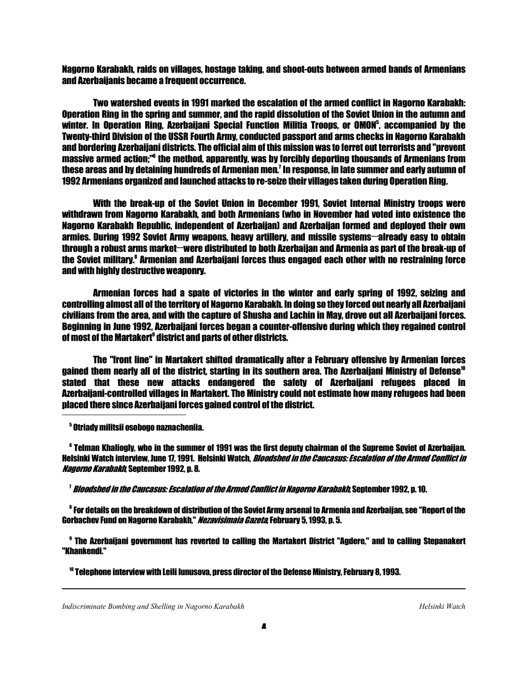Nagorno Karabakh, raids on villages, hostage taking, and shoot-outs between armed bands of Armenians and Azerbaijanis became a frequent occurrence.

 Two watershed events in 1991 marked the escalation of the armed conflict in Nagorno Karabakh: Operation Ring in the spring and summer, and the rapid dissolution of the Soviet Union in the autumn and winter. In Operation Ring, Azerbaijani Special Function Militia Troops, or OMON<sup>5</sup>, accompanied by the Twenty-third Division of the USSR Fourth Army, conducted passport and arms checks in Nagorno Karabakh and bordering Azerbaijani districts. The official aim of this mission was to ferret out terrorists and "prevent massive armed action;"<sup>6</sup> the method, apparently, was by forcibly deporting thousands of Armenians from these areas and by detaining hundreds of Armenian men.' In response, in late summer and early autumn of 1992 Armenians organized and launched attacks to re-seize their villages taken during Operation Ring.

 With the break-up of the Soviet Union in December 1991, Soviet Internal Ministry troops were withdrawn from Nagorno Karabakh, and both Armenians (who in November had voted into existence the Nagorno Karabakh Republic, independent of Azerbaijan) and Azerbaijan formed and deployed their own armies. During 1992 Soviet Army weapons, heavy artillery, and missile systems—already easy to obtain through a robust arms market—were distributed to both Azerbaijan and Armenia as part of the break-up of the Soviet military.<sup>8</sup> Armenian and Azerbaijani forces thus engaged each other with no restraining force and with highly destructive weaponry.

 Armenian forces had a spate of victories in the winter and early spring of 1992, seizing and controlling almost all of the territory of Nagorno Karabakh. In doing so they forced out nearly all Azerbaijani civilians from the area, and with the capture of Shusha and Lachin in May, drove out all Azerbaijani forces. Beginning in June 1992, Azerbaijani forces began a counter-offensive during which they regained control of most of the Martakert<sup>9</sup> district and parts of other districts.

 The "front line" in Martakert shifted dramatically after a February offensive by Armenian forces gained them nearly all of the district, starting in its southern area. The Azerbaijani Ministry of Defense<sup>10</sup> stated that these new attacks endangered the safety of Azerbaijani refugees placed in Azerbaijani-controlled villages in Martakert. The Ministry could not estimate how many refugees had been placed there since Azerbaijani forces gained control of the district.

5 Otriady militsii osobogo naznacheniia.

6 Telman Khaliogly, who in the summer of 1991 was the first deputy chairman of the Supreme Soviet of Azerbaijan. Helsinki Watch interview, June 17, 1991. Helsinki Watch, *Bloodshed in the Caucasus: Escalation of the Armed Conflict in* Nagorno Karabakh, September 1992, p. 8.

<sup>1</sup> *Bloodshed in the Caucasus: Escalation of the Armed Conflict in Nagorno Karabakh,* September 1992, p. 10.

8 For details on the breakdown of distribution of the Soviet Army arsenal to Armenia and Azerbaijan, see "Report of the Gorbachev Fund on Nagorno Karabakh." *Nezavisimaia Gazeta*, February 5, 1993, p. 5.

9 The Azerbaijani government has reverted to calling the Martakert District "Agdere," and to calling Stepanakert "Khankendi."

10 Telephone interview with Leili Iunusova, press director of the Defense Ministry, February 8, 1993.

1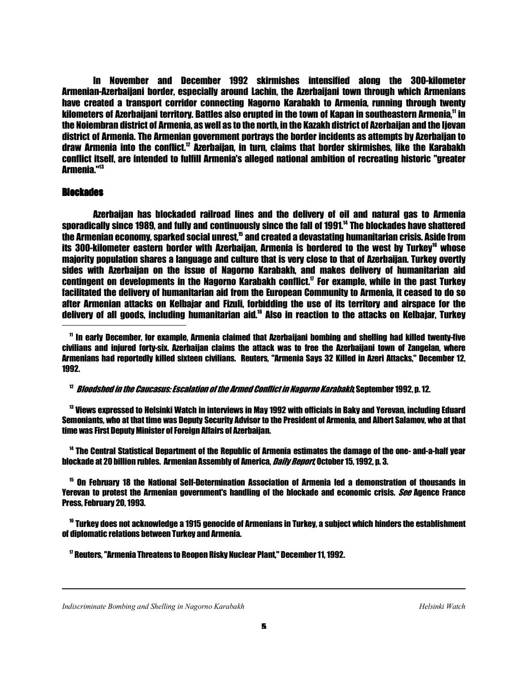In November and December 1992 skirmishes intensified along the 300-kilometer Armenian-Azerbaijani border, especially around Lachin, the Azerbaijani town through which Armenians have created a transport corridor connecting Nagorno Karabakh to Armenia, running through twenty kilometers of Azerbaijani territory. Battles also erupted in the town of Kapan in southeastern Armenia," in the Noiembran district of Armenia, as well as to the north, in the Kazakh district of Azerbaijan and the Ijevan district of Armenia. The Armenian government portrays the border incidents as attempts by Azerbaijan to draw Armenia into the conflict.<sup>12</sup> Azerbaijan, in turn, claims that border skirmishes, like the Karabakh conflict itself, are intended to fulfill Armenia's alleged national ambition of recreating historic "greater Armenia."<sup>13</sup>

#### **Blockades**

ֺ

 Azerbaijan has blockaded railroad lines and the delivery of oil and natural gas to Armenia sporadically since 1989, and fully and continuously since the fall of 1991.<sup>14</sup> The blockades have shattered the Armenian economy, sparked social unrest,<sup>15</sup> and created a devastating humanitarian crisis. Aside from its 300-kilometer eastern border with Azerbaijan, Armenia is bordered to the west by Turkey<sup>16</sup> whose majority population shares a language and culture that is very close to that of Azerbaijan. Turkey overtly sides with Azerbaijan on the issue of Nagorno Karabakh, and makes delivery of humanitarian aid contingent on developments in the Nagorno Karabakh conflict. $<sup>n</sup>$  For example, while in the past Turkey</sup> facilitated the delivery of humanitarian aid from the European Community to Armenia, it ceased to do so after Armenian attacks on Kelbajar and Fizuli, forbidding the use of its territory and airspace for the delivery of all goods, including humanitarian aid.<sup>18</sup> Also in reaction to the attacks on Kelbajar, Turkey

<sup>11</sup> In early December, for example, Armenia claimed that Azerbaijani bombing and shelling had killed twenty-five civilians and injured forty-six. Azerbaijan claims the attack was to free the Azerbaijani town of Zangelan, where Armenians had reportedly killed sixteen civilians. Reuters, "Armenia Says 32 Killed in Azeri Attacks," December 12, 1992.

<sup>12</sup> Bloodshed in the Caucasus: Escalation of the Armed Conflict in Nagorno Karabakh, September 1992, p. 12.

<sup>13</sup> Views expressed to Helsinki Watch in interviews in May 1992 with officials in Baky and Yerevan, including Eduard Semoniants, who at that time was Deputy Security Advisor to the President of Armenia, and Albert Salamov, who at that time was First Deputy Minister of Foreign Affairs of Azerbaijan.

<sup>14</sup> The Central Statistical Department of the Republic of Armenia estimates the damage of the one- and-a-half year blockade at 20 billion rubles. Armenian Assembly of America. *Daily Report* October 15, 1992, p. 3.

<sup>15</sup> On February 18 the National Self-Determination Association of Armenia led a demonstration of thousands in Yerevan to protest the Armenian government's handling of the blockade and economic crisis. See Agence France Press, February 20, 1993.

<sup>16</sup> Turkey does not acknowledge a 1915 genocide of Armenians in Turkey, a subject which hinders the establishment of diplomatic relations between Turkey and Armenia.

17 Reuters, "Armenia Threatens to Reopen Risky Nuclear Plant," December 11, 1992.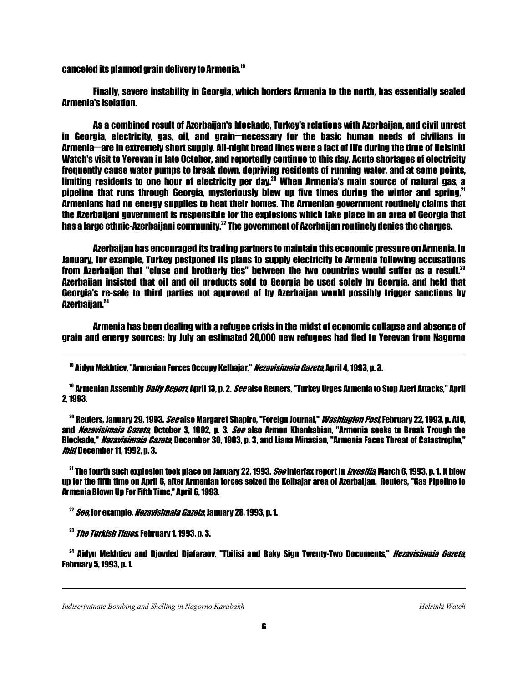canceled its planned grain delivery to Armenia.<sup>19</sup>

 Finally, severe instability in Georgia, which borders Armenia to the north, has essentially sealed Armenia's isolation.

 As a combined result of Azerbaijan's blockade, Turkey's relations with Azerbaijan, and civil unrest in Georgia, electricity, gas, oil, and grain—necessary for the basic human needs of civilians in Armenia—are in extremely short supply. All-night bread lines were a fact of life during the time of Helsinki Watch's visit to Yerevan in late October, and reportedly continue to this day. Acute shortages of electricity frequently cause water pumps to break down, depriving residents of running water, and at some points, limiting residents to one hour of electricity per day.<sup>20</sup> When Armenia's main source of natural gas, a pipeline that runs through Georgia, mysteriously blew up five times during the winter and spring.<sup>21</sup> Armenians had no energy supplies to heat their homes. The Armenian government routinely claims that the Azerbaijani government is responsible for the explosions which take place in an area of Georgia that has a large ethnic-Azerbaijani community.<sup>22</sup> The government of Azerbaijan routinely denies the charges.

 Azerbaijan has encouraged its trading partners to maintain this economic pressure on Armenia. In January, for example, Turkey postponed its plans to supply electricity to Armenia following accusations from Azerbaijan that "close and brotherly ties" between the two countries would suffer as a result.<sup>23</sup> Azerbaijan insisted that oil and oil products sold to Georgia be used solely by Georgia, and held that Georgia's re-sale to third parties not approved of by Azerbaijan would possibly trigger sanctions by Azerbaijan.<sup>24</sup> j

 Armenia has been dealing with a refugee crisis in the midst of economic collapse and absence of grain and energy sources: by July an estimated 20,000 new refugees had fled to Yerevan from Nagorno

<sup>18</sup> Aidyn Mekhtiev. "Armenian Forces Occupy Kelbajar." *Nezavisimaia Gazeta*. April 4. 1993. p. 3.

<sup>19</sup> Armenian Assembly *Daily Report,* April 13, p. 2. *See* also Reuters, "Turkey Urges Armenia to Stop Azeri Attacks," April 2, 1993.

<sup>20</sup> Reuters, January 29, 1993. *See* also Margaret Shapiro, "Foreign Journal," *Washington Post*, February 22, 1993, p. A10, and *Nezavisimaia Gazeta*, October 3, 1992, p. 3, *See* also Armen Khanbabian, "Armenia seeks to Break Trough the Blockade," *Nezavisimaia Gazeta*, December 30, 1993, p. 3, and Liana Minasian, "Armenia Faces Threat of Catastrophe," *ibid*, December 11, 1992, p. 3.

 $^{21}$  The fourth such explosion took place on January 22, 1993. *See* Interfax report in *Izvestiia*, March 6, 1993, p. 1. It blew up for the fifth time on April 6, after Armenian forces seized the Kelbajar area of Azerbaijan. Reuters, "Gas Pipeline to Armenia Blown Up For Fifth Time," April 6, 1993.

 $^{22}$  *See*, for example, *Nezavisimaia Gazeta*, January 28, 1993, p. 1.

 $^{23}$  *The Turkish Times*, February 1, 1993, p. 3.

1

ֺ֝

<sup>24</sup> Aidyn Mekhtiev and Djovded Djafaraov, "Tbilisi and Baky Sign Twenty-Two Documents," *Nezavisimaia Gazeta*, February 5, 1993, p. 1.

*Indiscriminate Bombing and Shelling in Nagorno Karabakh* Helsinki Watch *Helsinki Watch Helsinki Watch*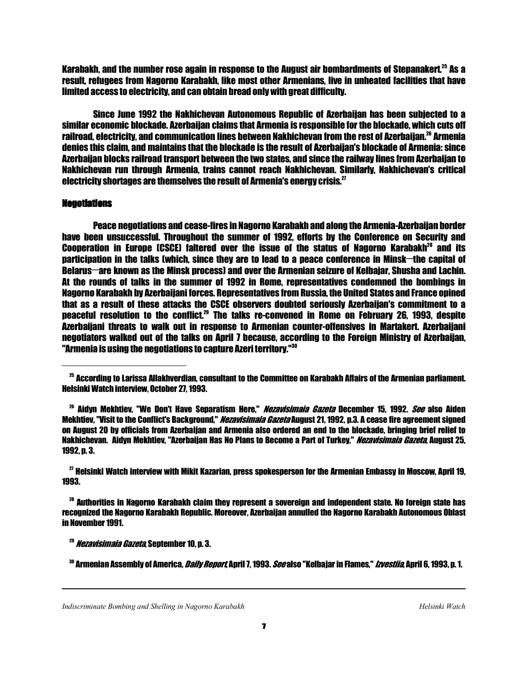Karabakh, and the number rose again in response to the August air bombardments of Stepanakert.<sup>25</sup> As a result, refugees from Nagorno Karabakh, like most other Armenians, live in unheated facilities that have limited access to electricity, and can obtain bread only with great difficulty.

 Since June 1992 the Nakhichevan Autonomous Republic of Azerbaijan has been subjected to a similar economic blockade. Azerbaijan claims that Armenia is responsible for the blockade, which cuts off railroad, electricity, and communication lines between Nakhichevan from the rest of Azerbaijan.<sup>26</sup> Armenia denies this claim, and maintains that the blockade is the result of Azerbaijan's blockade of Armenia: since Azerbaijan blocks railroad transport between the two states, and since the railway lines from Azerbaijan to Nakhichevan run through Armenia, trains cannot reach Nakhichevan. Similarly, Nakhichevan's critical electricity shortages are themselves the result of Armenia's energy crisis. $<sup>27</sup>$ </sup>

#### **Negotiations**

 Peace negotiations and cease-fires in Nagorno Karabakh and along the Armenia-Azerbaijan border have been unsuccessful. Throughout the summer of 1992, efforts by the Conference on Security and Cooperation in Europe (CSCE) faltered over the issue of the status of Nagorno Karabakh<sup>28</sup> and its participation in the talks (which, since they are to lead to a peace conference in Minsk—the capital of Belarus—are known as the Minsk process) and over the Armenian seizure of Kelbajar, Shusha and Lachin. At the rounds of talks in the summer of 1992 in Rome, representatives condemned the bombings in Nagorno Karabakh by Azerbaijani forces. Representatives from Russia, the United States and France opined that as a result of these attacks the CSCE observers doubted seriously Azerbaijan's commitment to a peaceful resolution to the conflict.<sup>29</sup> The talks re-convened in Rome on February 26, 1993, despite Azerbaijani threats to walk out in response to Armenian counter-offensives in Martakert. Azerbaijani negotiators walked out of the talks on April 7 because, according to the Foreign Ministry of Azerbaijan, "Armenia is using the negotiations to capture Azeri territory."<sup>30</sup>

 $^{27}$  Helsinki Watch interview with Mikit Kazarian, press spokesperson for the Armenian Embassy in Moscow, April 19, 1993.

<sup>28</sup> Authorities in Nagorno Karabakh claim they represent a sovereign and independent state. No foreign state has recognized the Nagorno Karabakh Republic. Moreover, Azerbaijan annulled the Nagorno Karabakh Autonomous Oblast in November 1991.

1

 $^{25}$  According to Larissa Allakhverdian, consultant to the Committee on Karabakh Affairs of the Armenian parliament. Helsinki Watch interview, October 27, 1993.

<sup>&</sup>lt;sup>26</sup> Aidvn Mekhtiev. "We Don't Have Senaratism Here," *Nezavisimaia Gazeta* December 15, 1992. *See* also Aiden Mekhtiev. "Visit to the Conflict's Background." *Nezavisimaia Gazeta* August 21, 1992. p.3. A cease fire agreement signed on August 20 by officials from Azerbaijan and Armenia also ordered an end to the blockade, bringing brief relief to Nakhichevan. Aidyn Mekhtiev, "Azerbaijan Has No Plans to Become a Part of Turkey," *Nezavisimaia Gazeta*, August 25, 1992, p. 3.

<sup>&</sup>lt;sup>29</sup> Nezavisimaia Gazeta, September 10, p. 3.

<sup>&</sup>lt;sup>30</sup> Armenian Assembly of America, *Daily Report*, April 7, 1993. *See* also "Kelbajar in Flames," *Izvestiia*, April 6, 1993, p. 1.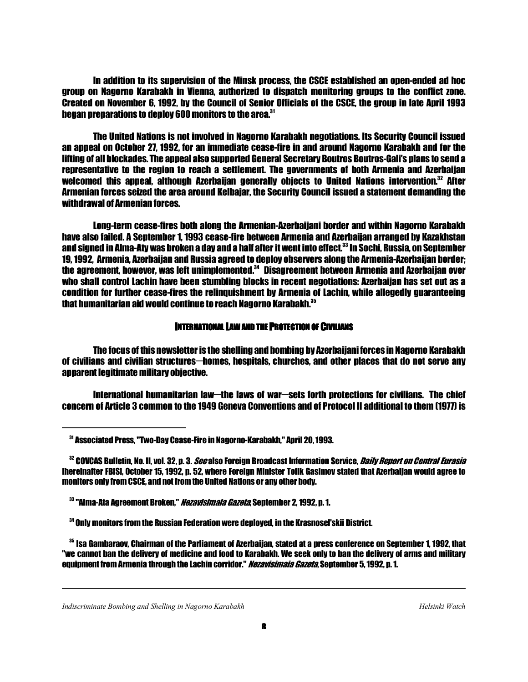In addition to its supervision of the Minsk process, the CSCE established an open-ended ad hoc group on Nagorno Karabakh in Vienna, authorized to dispatch monitoring groups to the conflict zone. Created on November 6, 1992, by the Council of Senior Officials of the CSCE, the group in late April 1993 began preparations to deploy 600 monitors to the area.<sup>31</sup>

 The United Nations is not involved in Nagorno Karabakh negotiations. Its Security Council issued an appeal on October 27, 1992, for an immediate cease-fire in and around Nagorno Karabakh and for the lifting of all blockades. The appeal also supported General Secretary Boutros Boutros-Gali's plans to send a representative to the region to reach a settlement. The governments of both Armenia and Azerbaijan welcomed this appeal, although Azerbaijan generally objects to United Nations intervention.<sup>32</sup> After Armenian forces seized the area around Kelbajar, the Security Council issued a statement demanding the withdrawal of Armenian forces.

 Long-term cease-fires both along the Armenian-Azerbaijani border and within Nagorno Karabakh have also failed. A September 1, 1993 cease-fire between Armenia and Azerbaijan arranged by Kazakhstan and signed in Alma-Aty was broken a day and a half after it went into effect.<sup>33</sup> In Sochi. Russia, on Sentember 19, 1992, Armenia, Azerbaijan and Russia agreed to deploy observers along the Armenia-Azerbaijan border; the agreement, however, was left unimplemented.<sup>34</sup> Disagreement between Armenia and Azerbaijan over who shall control Lachin have been stumbling blocks in recent negotiations: Azerbaijan has set out as a condition for further cease-fires the relinquishment by Armenia of Lachin, while allegedly guaranteeing that humanitarian aid would continue to reach Nagorno Karabakh.<sup>35</sup>

# INTERNATIONAL LAW AND THE PROTECTION OF CIVILIANS

 The focus of this newsletter is the shelling and bombing by Azerbaijani forces in Nagorno Karabakh of civilians and civilian structures—homes, hospitals, churches, and other places that do not serve any apparent legitimate military objective.

International humanitarian law—the laws of war—sets forth protections for civilians. The chief concern of Article 3 common to the 1949 Geneva Conventions and of Protocol II additional to them (1977) is

1

<sup>31</sup> Associated Press, "Two-Day Cease-Fire in Nagorno-Karabakh," April 20, 1993.

<sup>&</sup>lt;sup>32</sup> COVCAS Bulletin, No. II, vol. 32, p. 3. *See* also Foreign Broadcast Information Service, *Daily Report on Central Eurasia* [hereinafter FBIS], October 15, 1992, p. 52, where Foreign Minister Tofik Gasimov stated that Azerbaijan would agree to monitors only from CSCE, and not from the United Nations or any other body.

<sup>&</sup>lt;sup>33</sup> "Alma-Ata Agreement Broken," *Nezavisimaia Gazeta*, September 2, 1992, p. 1.

<sup>34</sup> Only monitors from the Russian Federation were deployed, in the Krasnosel'skii District.

<sup>35</sup> Isa Gambaraov, Chairman of the Parliament of Azerbaijan, stated at a press conference on September 1, 1992, that "we cannot ban the delivery of medicine and food to Karabakh. We seek only to ban the delivery of arms and military equipment from Armenia through the Lachin corridor." Nezavisimaia Gazeta, September 5, 1992, p. 1.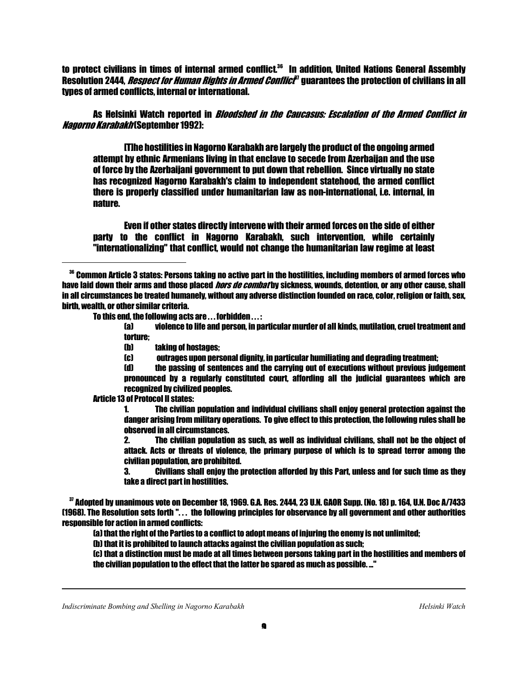to protect civilians in times of internal armed conflict.<sup>36</sup> In addition, United Nations General Assembly Resolution 2444, *Respect for Human Rights in Armed Conflict<sup>a</sup>* guarantees the protection of civilians in all types of armed conflicts, internal or international.

 As Helsinki Watch reported in Bloodshed in the Caucasus: Escalation of the Armed Conflict in *Nagorno Karabakh* (September 1992):

 [T]he hostilities in Nagorno Karabakh are largely the product of the ongoing armed attempt by ethnic Armenians living in that enclave to secede from Azerbaijan and the use of force by the Azerbaijani government to put down that rebellion. Since virtually no state has recognized Nagorno Karabakh's claim to independent statehood, the armed conflict there is properly classified under humanitarian law as non-international, i.e. internal, in nature.

 Even if other states directly intervene with their armed forces on the side of either party to the conflict in Nagorno Karabakh, such intervention, while certainly "internationalizing" that conflict, would not change the humanitarian law regime at least

To this end, the following acts are . . . forbidden . . . :

 (a) violence to life and person, in particular murder of all kinds, mutilation, cruel treatment and torture;

- (b) taking of hostages;
- (c) outrages upon personal dignity, in particular humiliating and degrading treatment;
- (d) the passing of sentences and the carrying out of executions without previous judgement pronounced by a regularly constituted court, affording all the judicial guarantees which are recognized by civilized peoples.

Article 13 of Protocol II states:

 1. The civilian population and individual civilians shall enjoy general protection against the danger arising from military operations. To give effect to this protection, the following rules shall be observed in all circumstances.

 2. The civilian population as such, as well as individual civilians, shall not be the object of attack. Acts or threats of violence, the primary purpose of which is to spread terror among the civilian population, are prohibited.

 3. Civilians shall enjoy the protection afforded by this Part, unless and for such time as they take a direct part in hostilities.

<sup>37</sup> Adopted by unanimous vote on December 18, 1969. G.A. Res. 2444, 23 U.N. GAOR Supp. (No. 18) p. 164, U.N. Doc A/7433 (1968). The Resolution sets forth ". . . the following principles for observance by all government and other authorities responsible for action in armed conflicts:

(a) that the right of the Parties to a conflict to adopt means of injuring the enemy is not unlimited;

(b) that it is prohibited to launch attacks against the civilian population as such;

 (c) that a distinction must be made at all times between persons taking part in the hostilities and members of the civilian population to the effect that the latter be spared as much as possible. ..."

1

<sup>&</sup>lt;sup>36</sup> Common Article 3 states: Persons taking no active part in the hostilities, including members of armed forces who have laid down their arms and those placed *hors de combat* by sickness, wounds, detention, or any other cause, shall in all circumstances be treated humanely, without any adverse distinction founded on race, color, religion or faith, sex, birth, wealth, or other similar criteria.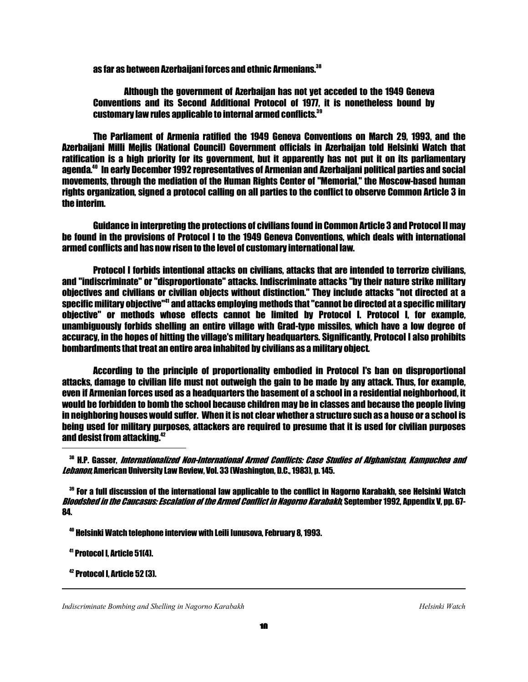as far as between Azerbaijani forces and ethnic Armenians.<sup>38</sup>

 Although the government of Azerbaijan has not yet acceded to the 1949 Geneva Conventions and its Second Additional Protocol of 1977, it is nonetheless bound by customary law rules applicable to internal armed conflicts.<sup>39</sup>

 The Parliament of Armenia ratified the 1949 Geneva Conventions on March 29, 1993, and the Azerbaijani Milli Mejlis (National Council) Government officials in Azerbaijan told Helsinki Watch that ratification is a high priority for its government, but it apparently has not put it on its parliamentary agenda.<sup>40</sup> In early December 1992 representatives of Armenian and Azerbaijani political parties and social movements, through the mediation of the Human Rights Center of "Memorial," the Moscow-based human rights organization, signed a protocol calling on all parties to the conflict to observe Common Article 3 in the interim.

 Guidance in interpreting the protections of civilians found in Common Article 3 and Protocol II may be found in the provisions of Protocol I to the 1949 Geneva Conventions, which deals with international armed conflicts and has now risen to the level of customary international law.

 Protocol I forbids intentional attacks on civilians, attacks that are intended to terrorize civilians, and "indiscriminate" or "disproportionate" attacks. Indiscriminate attacks "by their nature strike military objectives and civilians or civilian objects without distinction." They include attacks "not directed at a specific military objective"<sup>41</sup> and attacks employing methods that "cannot be directed at a specific military objective" or methods whose effects cannot be limited by Protocol I. Protocol I, for example, unambiguously forbids shelling an entire village with Grad-type missiles, which have a low degree of accuracy, in the hopes of hitting the village's military headquarters. Significantly, Protocol I also prohibits bombardments that treat an entire area inhabited by civilians as a military object.

 According to the principle of proportionality embodied in Protocol I's ban on disproportional attacks, damage to civilian life must not outweigh the gain to be made by any attack. Thus, for example, even if Armenian forces used as a headquarters the basement of a school in a residential neighborhood, it would be forbidden to bomb the school because children may be in classes and because the people living in neighboring houses would suffer. When it is not clear whether a structure such as a house or a school is being used for military purposes, attackers are required to presume that it is used for civilian purposes and desist from attacking.<sup>42</sup>

<sup>38</sup> H.P. Gasser, Internationalized Non-International Armed Conflicts: Case Studies of Afghanistan, Kampuchea and Lebanon, American University Law Review, Vol. 33 (Washington, D.C., 1983), p. 145.

<sup>39</sup> For a full discussion of the international law applicable to the conflict in Nagorno Karabakh, see Helsinki Watch Bloodshed in the Caucasus: Escalation of the Armed Conflict in Nagorno Karabakh, September 1992, Appendix V, pp. 67-84.

<sup>40</sup> Helsinki Watch telephone interview with Leili Iunusova, February 8, 1993.

<sup>41</sup> Protocol I, Article 51(4).

42 Protocol I, Article 52 (3).

1

ׇ֖֖֚֚֚֬֝֬

*Indiscriminate Bombing and Shelling in Nagorno Karabakh* Helsinki Watch *Helsinki Watch Helsinki Watch*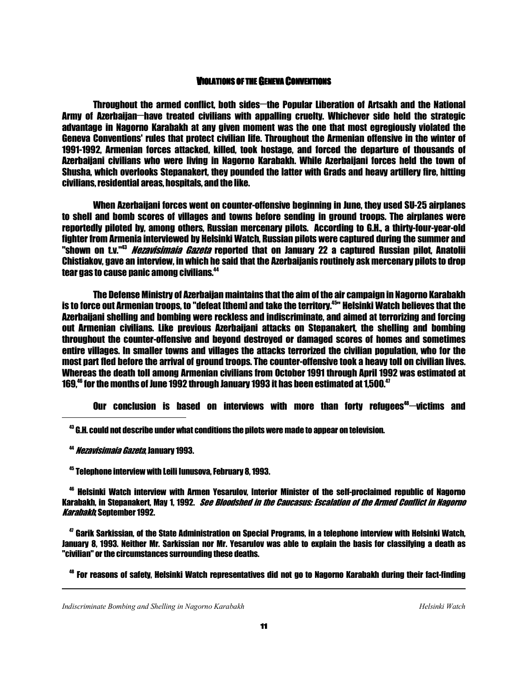# VIOLATIONS OF THE GENEVA CONVENTIONS

Throughout the armed conflict, both sides—the Popular Liberation of Artsakh and the National Army of Azerbaijan—have treated civilians with appalling cruelty. Whichever side held the strategic advantage in Nagorno Karabakh at any given moment was the one that most egregiously violated the Geneva Conventions' rules that protect civilian life. Throughout the Armenian offensive in the winter of 1991-1992, Armenian forces attacked, killed, took hostage, and forced the departure of thousands of Azerbaijani civilians who were living in Nagorno Karabakh. While Azerbaijani forces held the town of Shusha, which overlooks Stepanakert, they pounded the latter with Grads and heavy artillery fire, hitting civilians, residential areas, hospitals, and the like.

 When Azerbaijani forces went on counter-offensive beginning in June, they used SU-25 airplanes to shell and bomb scores of villages and towns before sending in ground troops. The airplanes were reportedly piloted by, among others, Russian mercenary pilots. According to G.H., a thirty-four-year-old fighter from Armenia interviewed by Helsinki Watch, Russian pilots were captured during the summer and "shown on t.v."<sup>43</sup> *Nezavisimaia Gazeta* reported that on January 22 a captured Russian pilot. Anatolii Chistiakov, gave an interview, in which he said that the Azerbaijanis routinely ask mercenary pilots to drop tear gas to cause panic among civilians.<sup>44</sup> j

 The Defense Ministry of Azerbaijan maintains that the aim of the air campaign in Nagorno Karabakh is to force out Armenian troops, to "defeat [them] and take the territory.<sup>45</sup>" Helsinki Watch believes that the Azerbaijani shelling and bombing were reckless and indiscriminate, and aimed at terrorizing and forcing out Armenian civilians. Like previous Azerbaijani attacks on Stepanakert, the shelling and bombing throughout the counter-offensive and beyond destroyed or damaged scores of homes and sometimes entire villages. In smaller towns and villages the attacks terrorized the civilian population, who for the most part fled before the arrival of ground troops. The counter-offensive took a heavy toll on civilian lives. Whereas the death toll among Armenian civilians from October 1991 through April 1992 was estimated at 169,<sup>46</sup> for the months of June 1992 through January 1993 it has been estimated at 1,500.<sup>47</sup>

Our conclusion is based on interviews with more than forty refugees $48-\text{victims}$  and

 $43$  G.H. could not describe under what conditions the pilots were made to appear on television.

<sup>44</sup> *Nezavisimaia Gazeta*. January 1993.

<sup>45</sup> Telephone interview with Leili lunusova, February 8, 1993.

<sup>46</sup> Helsinki Watch interview with Armen Yesarulov, Interior Minister of the self-proclaimed republic of Nagorno Karabakh, in Stepanakert, May 1, 1992. See Bloodshed in the Caucasus: Escalation of the Armed Conflict in Nagorno **Karabakh September 1992.** 

<sup>47</sup> Garik Sarkissian, of the State Administration on Special Programs, in a telephone interview with Helsinki Watch, January 8, 1993. Neither Mr. Sarkissian nor Mr. Yesarulov was able to explain the basis for classifying a death as "civilian" or the circumstances surrounding these deaths.

<sup>48</sup> For reasons of safety, Helsinki Watch representatives did not go to Nagorno Karabakh during their fact-finding

1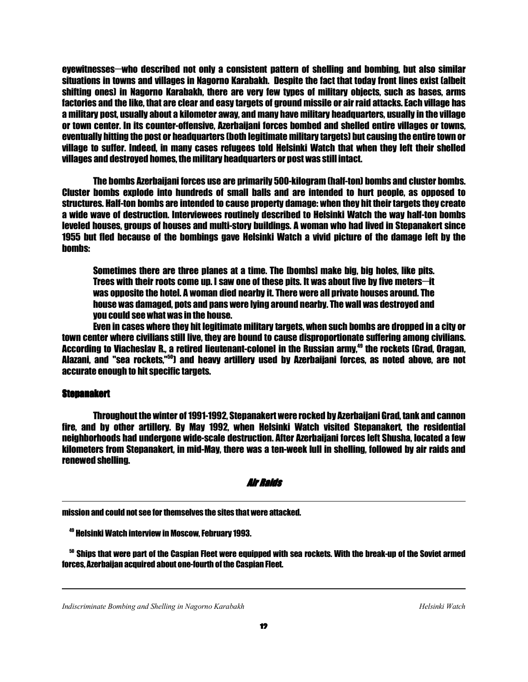eyewitnesses—who described not only a consistent pattern of shelling and bombing, but also similar situations in towns and villages in Nagorno Karabakh. Despite the fact that today front lines exist (albeit shifting ones) in Nagorno Karabakh, there are very few types of military objects, such as bases, arms factories and the like, that are clear and easy targets of ground missile or air raid attacks. Each village has a military post, usually about a kilometer away, and many have military headquarters, usually in the village or town center. In its counter-offensive, Azerbaijani forces bombed and shelled entire villages or towns, eventually hitting the post or headquarters (both legitimate military targets) but causing the entire town or village to suffer. Indeed, in many cases refugees told Helsinki Watch that when they left their shelled villages and destroyed homes, the military headquarters or post was still intact.

 The bombs Azerbaijani forces use are primarily 500-kilogram (half-ton) bombs and cluster bombs. Cluster bombs explode into hundreds of small balls and are intended to hurt people, as opposed to structures. Half-ton bombs are intended to cause property damage: when they hit their targets they create a wide wave of destruction. Interviewees routinely described to Helsinki Watch the way half-ton bombs leveled houses, groups of houses and multi-story buildings. A woman who had lived in Stepanakert since 1955 but fled because of the bombings gave Helsinki Watch a vivid picture of the damage left by the bombs:

 Sometimes there are three planes at a time. The [bombs] make big, big holes, like pits. Trees with their roots come up. I saw one of these pits. It was about five by five meters—it was opposite the hotel. A woman died nearby it. There were all private houses around. The house was damaged, pots and pans were lying around nearby. The wall was destroyed and you could see what was in the house.

 Even in cases where they hit legitimate military targets, when such bombs are dropped in a city or town center where civilians still live, they are bound to cause disproportionate suffering among civilians. According to Viacheslav R., a retired lieutenant-colonel in the Russian army.<sup>49</sup> the rockets (Grad, Oragan, Alazani, and "sea rockets,"<sup>50</sup>) and heavy artillery used by Azerbaijani forces, as noted above, are not accurate enough to hit specific targets.

#### **Stepanakert**

1

ֺ֝

 Throughout the winter of 1991-1992, Stepanakert were rocked by Azerbaijani Grad, tank and cannon fire, and by other artillery. By May 1992, when Helsinki Watch visited Stepanakert, the residential neighborhoods had undergone wide-scale destruction. After Azerbaijani forces left Shusha, located a few kilometers from Stepanakert, in mid-May, there was a ten-week lull in shelling, followed by air raids and renewed shelling.

#### Air Raids

mission and could not see for themselves the sites that were attacked.

<sup>50</sup> Ships that were part of the Caspian Fleet were equipped with sea rockets. With the break-up of the Soviet armed forces, Azerbaijan acquired about one-fourth of the Caspian Fleet.

*Indiscriminate Bombing and Shelling in Nagorno Karabakh* Helsinki Watch *Helsinki Watch Helsinki Watch* 

<sup>49</sup> Helsinki Watch interview in Moscow, February 1993.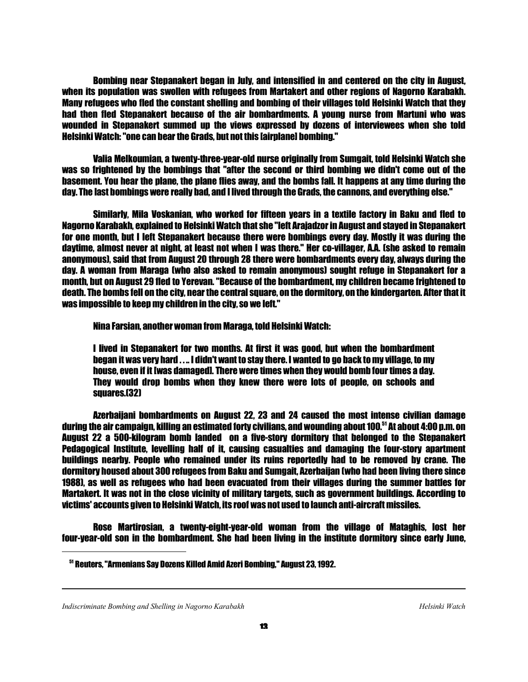Bombing near Stepanakert began in July, and intensified in and centered on the city in August, when its population was swollen with refugees from Martakert and other regions of Nagorno Karabakh. Many refugees who fled the constant shelling and bombing of their villages told Helsinki Watch that they had then fled Stepanakert because of the air bombardments. A young nurse from Martuni who was wounded in Stepanakert summed up the views expressed by dozens of interviewees when she told Helsinki Watch: "one can bear the Grads, but not this [airplane] bombing."

 Valia Melkoumian, a twenty-three-year-old nurse originally from Sumgait, told Helsinki Watch she was so frightened by the bombings that "after the second or third bombing we didn't come out of the basement. You hear the plane, the plane flies away, and the bombs fall. It happens at any time during the day. The last bombings were really bad, and I lived through the Grads, the cannons, and everything else."

 Similarly, Mila Voskanian, who worked for fifteen years in a textile factory in Baku and fled to Nagorno Karabakh, explained to Helsinki Watch that she "left Arajadzor in August and stayed in Stepanakert for one month, but I left Stepanakert because there were bombings every day. Mostly it was during the daytime, almost never at night, at least not when I was there." Her co-villager, A.A. (she asked to remain anonymous), said that from August 20 through 28 there were bombardments every day, always during the day. A woman from Maraga (who also asked to remain anonymous) sought refuge in Stepanakert for a month, but on August 29 fled to Yerevan. "Because of the bombardment, my children became frightened to death. The bombs fell on the city, near the central square, on the dormitory, on the kindergarten. After that it was impossible to keep my children in the city, so we left."

Nina Farsian, another woman from Maraga, told Helsinki Watch:

 I lived in Stepanakert for two months. At first it was good, but when the bombardment began it was very hard . . .. I didn't want to stay there. I wanted to go back to my village, to my house, even if it [was damaged]. There were times when they would bomb four times a day. They would drop bombs when they knew there were lots of people, on schools and squares.(32)

 Azerbaijani bombardments on August 22, 23 and 24 caused the most intense civilian damage during the air campaign, killing an estimated forty civilians, and wounding about 100.<sup>51</sup> At about 4:00 p.m. on August 22 a 500-kilogram bomb landed on a five-story dormitory that belonged to the Stepanakert Pedagogical Institute, levelling half of it, causing casualties and damaging the four-story apartment buildings nearby. People who remained under its ruins reportedly had to be removed by crane. The dormitory housed about 300 refugees from Baku and Sumgait, Azerbaijan (who had been living there since 1988), as well as refugees who had been evacuated from their villages during the summer battles for Martakert. It was not in the close vicinity of military targets, such as government buildings. According to victims' accounts given to Helsinki Watch, its roof was not used to launch anti-aircraft missiles.

 Rose Martirosian, a twenty-eight-year-old woman from the village of Mataghis, lost her four-year-old son in the bombardment. She had been living in the institute dormitory since early June,

1

<sup>51</sup> Reuters, "Armenians Say Dozens Killed Amid Azeri Bombing," August 23, 1992.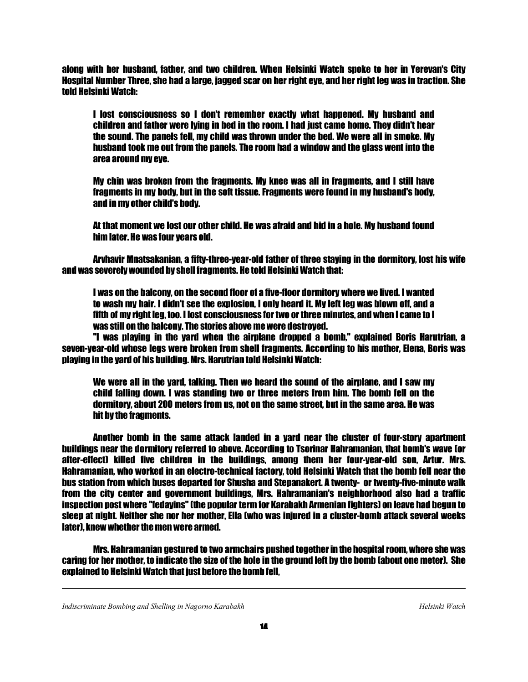along with her husband, father, and two children. When Helsinki Watch spoke to her in Yerevan's City Hospital Number Three, she had a large, jagged scar on her right eye, and her right leg was in traction. She told Helsinki Watch:

 I lost consciousness so I don't remember exactly what happened. My husband and children and father were lying in bed in the room. I had just came home. They didn't hear the sound. The panels fell, my child was thrown under the bed. We were all in smoke. My husband took me out from the panels. The room had a window and the glass went into the area around my eye.

 My chin was broken from the fragments. My knee was all in fragments, and I still have fragments in my body, but in the soft tissue. Fragments were found in my husband's body, and in my other child's body.

 At that moment we lost our other child. He was afraid and hid in a hole. My husband found him later. He was four years old.

 Arvhavir Mnatsakanian, a fifty-three-year-old father of three staying in the dormitory, lost his wife and was severely wounded by shell fragments. He told Helsinki Watch that:

 I was on the balcony, on the second floor of a five-floor dormitory where we lived. I wanted to wash my hair. I didn't see the explosion, I only heard it. My left leg was blown off, and a fifth of my right leg, too. I lost consciousness for two or three minutes, and when I came to I was still on the balcony. The stories above me were destroyed.

 "I was playing in the yard when the airplane dropped a bomb," explained Boris Harutrian, a seven-year-old whose legs were broken from shell fragments. According to his mother, Elena, Boris was playing in the yard of his building. Mrs. Harutrian told Helsinki Watch:

 We were all in the yard, talking. Then we heard the sound of the airplane, and I saw my child falling down. I was standing two or three meters from him. The bomb fell on the dormitory, about 200 meters from us, not on the same street, but in the same area. He was hit by the fragments.

 Another bomb in the same attack landed in a yard near the cluster of four-story apartment buildings near the dormitory referred to above. According to Tsorinar Hahramanian, that bomb's wave (or after-effect) killed five children in the buildings, among them her four-year-old son, Artur. Mrs. Hahramanian, who worked in an electro-technical factory, told Helsinki Watch that the bomb fell near the bus station from which buses departed for Shusha and Stepanakert. A twenty- or twenty-five-minute walk from the city center and government buildings, Mrs. Hahramanian's neighborhood also had a traffic inspection post where "fedayins" (the popular term for Karabakh Armenian fighters) on leave had begun to sleep at night. Neither she nor her mother, Ella (who was injured in a cluster-bomb attack several weeks later), knew whether the men were armed.

 Mrs. Hahramanian gestured to two armchairs pushed together in the hospital room, where she was caring for her mother, to indicate the size of the hole in the ground left by the bomb (about one meter). She explained to Helsinki Watch that just before the bomb fell,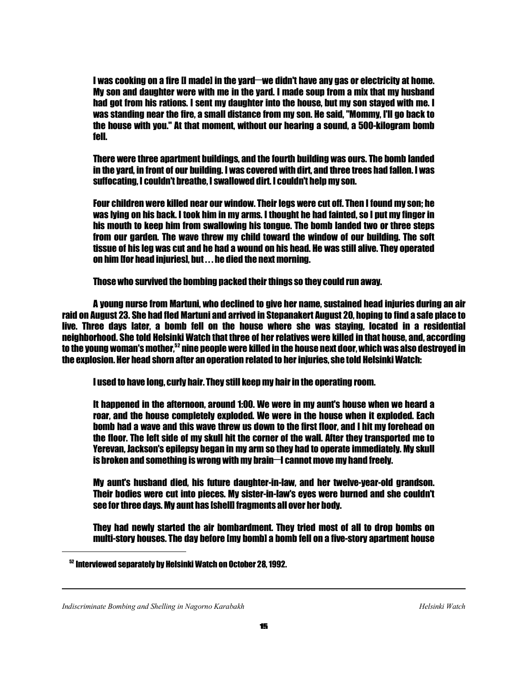I was cooking on a fire II madel in the yard—we didn't have any gas or electricity at home. My son and daughter were with me in the yard. I made soup from a mix that my husband had got from his rations. I sent my daughter into the house, but my son stayed with me. I was standing near the fire, a small distance from my son. He said, "Mommy, I'll go back to the house with you." At that moment, without our hearing a sound, a 500-kilogram bomb fell.

 There were three apartment buildings, and the fourth building was ours. The bomb landed in the yard, in front of our building. I was covered with dirt, and three trees had fallen. I was suffocating, I couldn't breathe, I swallowed dirt. I couldn't help my son.

 Four children were killed near our window. Their legs were cut off. Then I found my son; he was lying on his back. I took him in my arms. I thought he had fainted, so I put my finger in his mouth to keep him from swallowing his tongue. The bomb landed two or three steps from our garden. The wave threw my child toward the window of our building. The soft tissue of his leg was cut and he had a wound on his head. He was still alive. They operated on him [for head injuries], but . . . he died the next morning.

Those who survived the bombing packed their things so they could run away.

 A young nurse from Martuni, who declined to give her name, sustained head injuries during an air raid on August 23. She had fled Martuni and arrived in Stepanakert August 20, hoping to find a safe place to live. Three days later, a bomb fell on the house where she was staying, located in a residential neighborhood. She told Helsinki Watch that three of her relatives were killed in that house, and, according to the young woman's mother,<sup>52</sup> nine people were killed in the house next door, which was also destroyed in the explosion. Her head shorn after an operation related to her injuries, she told Helsinki Watch:

I used to have long, curly hair. They still keep my hair in the operating room.

 It happened in the afternoon, around 1:00. We were in my aunt's house when we heard a roar, and the house completely exploded. We were in the house when it exploded. Each bomb had a wave and this wave threw us down to the first floor, and I hit my forehead on the floor. The left side of my skull hit the corner of the wall. After they transported me to Yerevan, Jackson's epilepsy began in my arm so they had to operate immediately. My skull is broken and something is wrong with my brain— $\mathsf I$  cannot move my hand freely.

 My aunt's husband died, his future daughter-in-law, and her twelve-year-old grandson. Their bodies were cut into pieces. My sister-in-law's eyes were burned and she couldn't see for three days. My aunt has [shell] fragments all over her body.

 They had newly started the air bombardment. They tried most of all to drop bombs on multi-story houses. The day before [my bomb] a bomb fell on a five-story apartment house

1

<sup>52</sup> Interviewed separately by Helsinki Watch on October 28, 1992.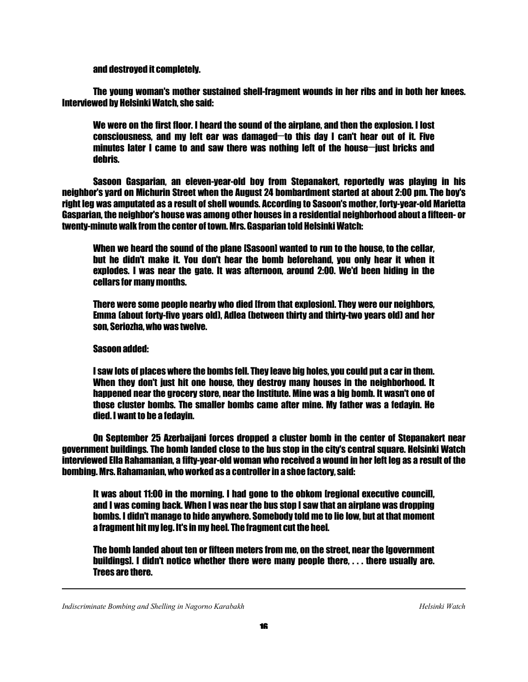and destroyed it completely.

 The young woman's mother sustained shell-fragment wounds in her ribs and in both her knees. Interviewed by Helsinki Watch, she said:

 We were on the first floor. I heard the sound of the airplane, and then the explosion. I lost consciousness, and my left ear was damaged—to this day I can't hear out of it. Five minutes later I came to and saw there was nothing left of the house—just bricks and debris.

 Sasoon Gasparian, an eleven-year-old boy from Stepanakert, reportedly was playing in his neighbor's yard on Michurin Street when the August 24 bombardment started at about 2:00 pm. The boy's right leg was amputated as a result of shell wounds. According to Sasoon's mother, forty-year-old Marietta Gasparian, the neighbor's house was among other houses in a residential neighborhood about a fifteen- or twenty-minute walk from the center of town. Mrs. Gasparian told Helsinki Watch:

 When we heard the sound of the plane [Sasoon] wanted to run to the house, to the cellar, but he didn't make it. You don't hear the bomb beforehand, you only hear it when it explodes. I was near the gate. It was afternoon, around 2:00. We'd been hiding in the cellars for many months.

 There were some people nearby who died [from that explosion]. They were our neighbors, Emma (about forty-five years old), Adlea (between thirty and thirty-two years old) and her son, Seriozha, who was twelve.

# Sasoon added:

 I saw lots of places where the bombs fell. They leave big holes, you could put a car in them. When they don't just hit one house, they destroy many houses in the neighborhood. It happened near the grocery store, near the Institute. Mine was a big bomb. It wasn't one of those cluster bombs. The smaller bombs came after mine. My father was a fedayin. He died. I want to be a fedayin.

 On September 25 Azerbaijani forces dropped a cluster bomb in the center of Stepanakert near government buildings. The bomb landed close to the bus stop in the city's central square. Helsinki Watch interviewed Ella Rahamanian, a fifty-year-old woman who received a wound in her left leg as a result of the bombing. Mrs. Rahamanian, who worked as a controller in a shoe factory, said:

It was about 11:00 in the morning. I had gone to the obkom *tregional executive councill*, and I was coming back. When I was near the bus stop I saw that an airplane was dropping bombs. I didn't manage to hide anywhere. Somebody told me to lie low, but at that moment a fragment hit my leg. It's in my heel. The fragment cut the heel.

 The bomb landed about ten or fifteen meters from me, on the street, near the [government buildings]. I didn't notice whether there were many people there, . . . there usually are. Trees are there.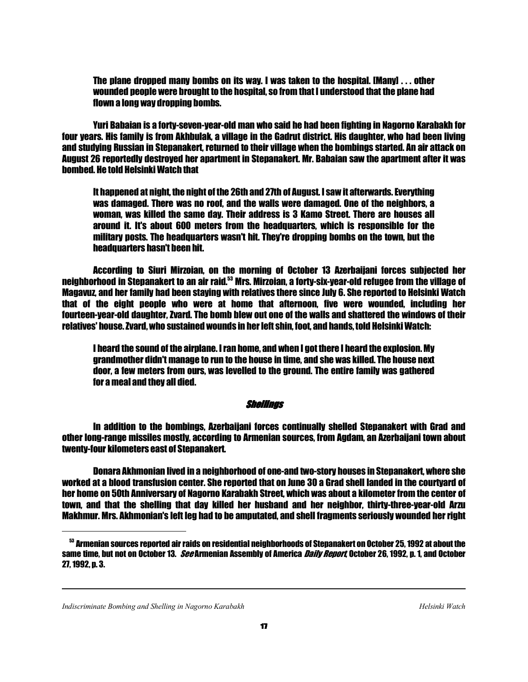The plane dropped many bombs on its way. I was taken to the hospital. [Many] . . . other wounded people were brought to the hospital, so from that I understood that the plane had flown a long way dropping bombs.

 Yuri Babaian is a forty-seven-year-old man who said he had been fighting in Nagorno Karabakh for four years. His family is from Akhbulak, a village in the Gadrut district. His daughter, who had been living and studying Russian in Stepanakert, returned to their village when the bombings started. An air attack on August 26 reportedly destroyed her apartment in Stepanakert. Mr. Babaian saw the apartment after it was bombed. He told Helsinki Watch that

 It happened at night, the night of the 26th and 27th of August. I saw it afterwards. Everything was damaged. There was no roof, and the walls were damaged. One of the neighbors, a woman, was killed the same day. Their address is 3 Kamo Street. There are houses all around it. It's about 600 meters from the headquarters, which is responsible for the military posts. The headquarters wasn't hit. They're dropping bombs on the town, but the headquarters hasn't been hit.

 According to Siuri Mirzoian, on the morning of October 13 Azerbaijani forces subjected her neighborhood in Stepanakert to an air raid.<sup>53</sup> Mrs. Mirzoian, a forty-six-year-old refugee from the village of Magavuz, and her family had been staying with relatives there since July 6. She reported to Helsinki Watch that of the eight people who were at home that afternoon, five were wounded, including her fourteen-year-old daughter, Zvard. The bomb blew out one of the walls and shattered the windows of their relatives' house. Zvard, who sustained wounds in her left shin, foot, and hands, told Helsinki Watch:

 I heard the sound of the airplane. I ran home, and when I got there I heard the explosion. My grandmother didn't manage to run to the house in time, and she was killed. The house next door, a few meters from ours, was levelled to the ground. The entire family was gathered for a meal and they all died.

#### Shellings

 In addition to the bombings, Azerbaijani forces continually shelled Stepanakert with Grad and other long-range missiles mostly, according to Armenian sources, from Agdam, an Azerbaijani town about twenty-four kilometers east of Stepanakert.

 Donara Akhmonian lived in a neighborhood of one-and two-story houses in Stepanakert, where she worked at a blood transfusion center. She reported that on June 30 a Grad shell landed in the courtyard of her home on 50th Anniversary of Nagorno Karabakh Street, which was about a kilometer from the center of town, and that the shelling that day killed her husband and her neighbor, thirty-three-year-old Arzu Makhmur. Mrs. Akhmonian's left leg had to be amputated, and shell fragments seriously wounded her right

1

 $^{53}$  Armenian sources reported air raids on residential neighborhoods of Stepanakert on October 25, 1992 at about the same time, but not on October 13. *See* Armenian Assembly of America *Daily Report*, October 26, 1992, p. 1, and October 27, 1992, p. 3.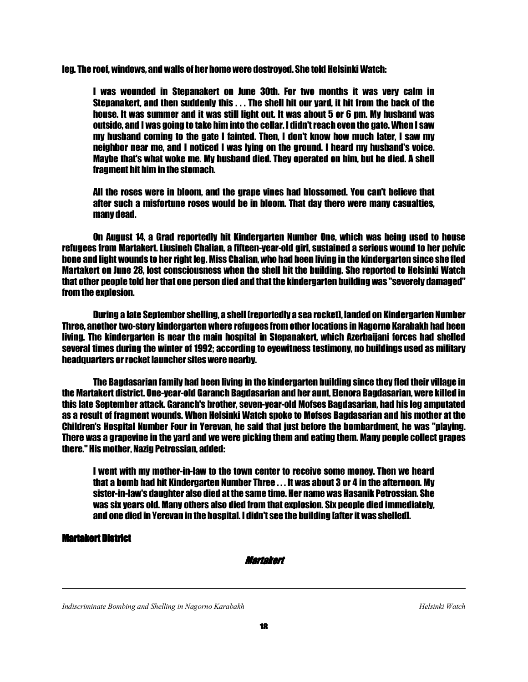leg. The roof, windows, and walls of her home were destroyed. She told Helsinki Watch:

 I was wounded in Stepanakert on June 30th. For two months it was very calm in Stepanakert, and then suddenly this . . . The shell hit our yard, it hit from the back of the house. It was summer and it was still light out. It was about 5 or 6 pm. My husband was outside, and I was going to take him into the cellar. I didn't reach even the gate. When I saw my husband coming to the gate I fainted. Then, I don't know how much later, I saw my neighbor near me, and I noticed I was lying on the ground. I heard my husband's voice. Maybe that's what woke me. My husband died. They operated on him, but he died. A shell fragment hit him in the stomach.

 All the roses were in bloom, and the grape vines had blossomed. You can't believe that after such a misfortune roses would be in bloom. That day there were many casualties, many dead.

 On August 14, a Grad reportedly hit Kindergarten Number One, which was being used to house refugees from Martakert. Liusineh Chalian, a fifteen-year-old girl, sustained a serious wound to her pelvic bone and light wounds to her right leg. Miss Chalian, who had been living in the kindergarten since she fled Martakert on June 28, lost consciousness when the shell hit the building. She reported to Helsinki Watch that other people told her that one person died and that the kindergarten building was "severely damaged" from the explosion.

 During a late September shelling, a shell (reportedly a sea rocket), landed on Kindergarten Number Three, another two-story kindergarten where refugees from other locations in Nagorno Karabakh had been living. The kindergarten is near the main hospital in Stepanakert, which Azerbaijani forces had shelled several times during the winter of 1992; according to eyewitness testimony, no buildings used as military headquarters or rocket launcher sites were nearby.

 The Bagdasarian family had been living in the kindergarten building since they fled their village in the Martakert district. One-year-old Garanch Bagdasarian and her aunt, Elenora Bagdasarian, were killed in this late September attack. Garanch's brother, seven-year-old Mofses Bagdasarian, had his leg amputated as a result of fragment wounds. When Helsinki Watch spoke to Mofses Bagdasarian and his mother at the Children's Hospital Number Four in Yerevan, he said that just before the bombardment, he was "playing. There was a grapevine in the yard and we were picking them and eating them. Many people collect grapes there." His mother, Nazig Petrossian, added:

 I went with my mother-in-law to the town center to receive some money. Then we heard that a bomb had hit Kindergarten Number Three . . . It was about 3 or 4 in the afternoon. My sister-in-law's daughter also died at the same time. Her name was Hasanik Petrossian. She was six years old. Many others also died from that explosion. Six people died immediately, and one died in Yerevan in the hospital. I didn't see the building [after it was shelled].

# **Martakert District**

1

Martakert

*Indiscriminate Bombing and Shelling in Nagorno Karabakh* Helsinki Watch *Helsinki Watch Helsinki Watch*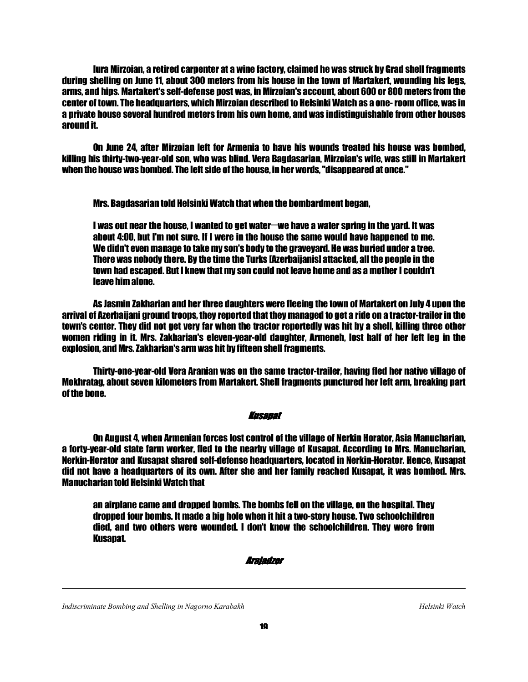Iura Mirzoian, a retired carpenter at a wine factory, claimed he was struck by Grad shell fragments during shelling on June 11, about 300 meters from his house in the town of Martakert, wounding his legs, arms, and hips. Martakert's self-defense post was, in Mirzoian's account, about 600 or 800 meters from the center of town. The headquarters, which Mirzoian described to Helsinki Watch as a one- room office, was in a private house several hundred meters from his own home, and was indistinguishable from other houses around it.

 On June 24, after Mirzoian left for Armenia to have his wounds treated his house was bombed, killing his thirty-two-year-old son, who was blind. Vera Bagdasarian, Mirzoian's wife, was still in Martakert when the house was bombed. The left side of the house, in her words, "disappeared at once."

Mrs. Bagdasarian told Helsinki Watch that when the bombardment began,

I was out near the house, I wanted to get water—we have a water spring in the yard. It was about 4:00, but I'm not sure. If I were in the house the same would have happened to me. We didn't even manage to take my son's body to the graveyard. He was buried under a tree. There was nobody there. By the time the Turks [Azerbaijanis] attacked, all the people in the town had escaped. But I knew that my son could not leave home and as a mother I couldn't leave him alone.

 As Jasmin Zakharian and her three daughters were fleeing the town of Martakert on July 4 upon the arrival of Azerbaijani ground troops, they reported that they managed to get a ride on a tractor-trailer in the town's center. They did not get very far when the tractor reportedly was hit by a shell, killing three other women riding in it. Mrs. Zakharian's eleven-year-old daughter, Armeneh, lost half of her left leg in the explosion, and Mrs. Zakharian's arm was hit by fifteen shell fragments.

 Thirty-one-year-old Vera Aranian was on the same tractor-trailer, having fled her native village of Mokhratag, about seven kilometers from Martakert. Shell fragments punctured her left arm, breaking part of the bone.

# Kusapat

 On August 4, when Armenian forces lost control of the village of Nerkin Horator, Asia Manucharian, a forty-year-old state farm worker, fled to the nearby village of Kusapat. According to Mrs. Manucharian, Nerkin-Horator and Kusapat shared self-defense headquarters, located in Nerkin-Horator. Hence, Kusapat did not have a headquarters of its own. After she and her family reached Kusapat, it was bombed. Mrs. Manucharian told Helsinki Watch that

 an airplane came and dropped bombs. The bombs fell on the village, on the hospital. They dropped four bombs. It made a big hole when it hit a two-story house. Two schoolchildren died, and two others were wounded. I don't know the schoolchildren. They were from **Kusapat.** 

#### Arajadzor

*Indiscriminate Bombing and Shelling in Nagorno Karabakh* Helsinki Watch **Helsinki Watch** *Helsinki Watch*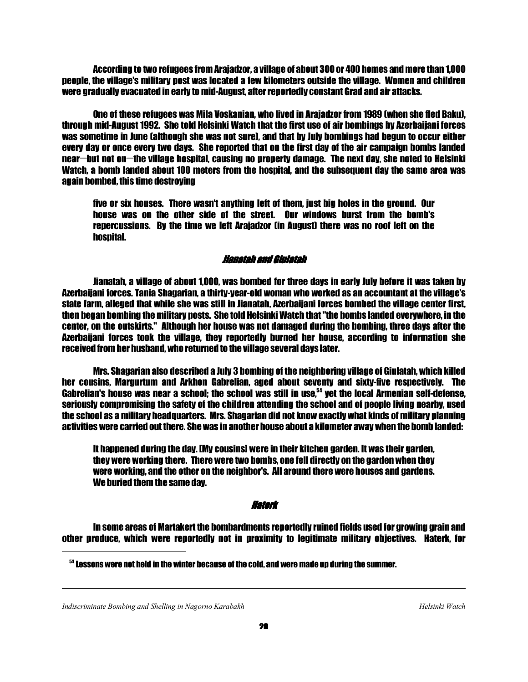According to two refugees from Arajadzor, a village of about 300 or 400 homes and more than 1,000 people, the village's military post was located a few kilometers outside the village. Women and children were gradually evacuated in early to mid-August, after reportedly constant Grad and air attacks.

 One of these refugees was Mila Voskanian, who lived in Arajadzor from 1989 (when she fled Baku), through mid-August 1992. She told Helsinki Watch that the first use of air bombings by Azerbaijani forces was sometime in June (although she was not sure), and that by July bombings had begun to occur either every day or once every two days. She reported that on the first day of the air campaign bombs landed near—but not on—the village hospital, causing no property damage. The next day, she noted to Helsinki Watch, a bomb landed about 100 meters from the hospital, and the subsequent day the same area was again bombed, this time destroying

 five or six houses. There wasn't anything left of them, just big holes in the ground. Our house was on the other side of the street. Our windows burst from the bomb's repercussions. By the time we left Arajadzor (in August) there was no roof left on the hospital.

#### Jianatah and Giulatah

 Jianatah, a village of about 1,000, was bombed for three days in early July before it was taken by Azerbaijani forces. Tania Shagarian, a thirty-year-old woman who worked as an accountant at the village's state farm, alleged that while she was still in Jianatah, Azerbaijani forces bombed the village center first, then began bombing the military posts. She told Helsinki Watch that "the bombs landed everywhere, in the center, on the outskirts." Although her house was not damaged during the bombing, three days after the Azerbaijani forces took the village, they reportedly burned her house, according to information she received from her husband, who returned to the village several days later.

 Mrs. Shagarian also described a July 3 bombing of the neighboring village of Giulatah, which killed her cousins, Margurtum and Arkhon Gabrelian, aged about seventy and sixty-five respectively. The Gabrelian's house was near a school; the school was still in use, $54$  yet the local Armenian self-defense, seriously compromising the safety of the children attending the school and of people living nearby, used the school as a military headquarters. Mrs. Shagarian did not know exactly what kinds of military planning activities were carried out there. She was in another house about a kilometer away when the bomb landed:

 It happened during the day. [My cousins] were in their kitchen garden. It was their garden, they were working there. There were two bombs, one fell directly on the garden when they were working, and the other on the neighbor's. All around there were houses and gardens. We buried them the same day.

#### Haterk

 In some areas of Martakert the bombardments reportedly ruined fields used for growing grain and other produce, which were reportedly not in proximity to legitimate military objectives. Haterk, for

<sup>54</sup> Lessons were not held in the winter because of the cold, and were made up during the summer.

*Indiscriminate Bombing and Shelling in Nagorno Karabakh* Helsinki Watch **Helsinki Watch** *Helsinki Watch* 

1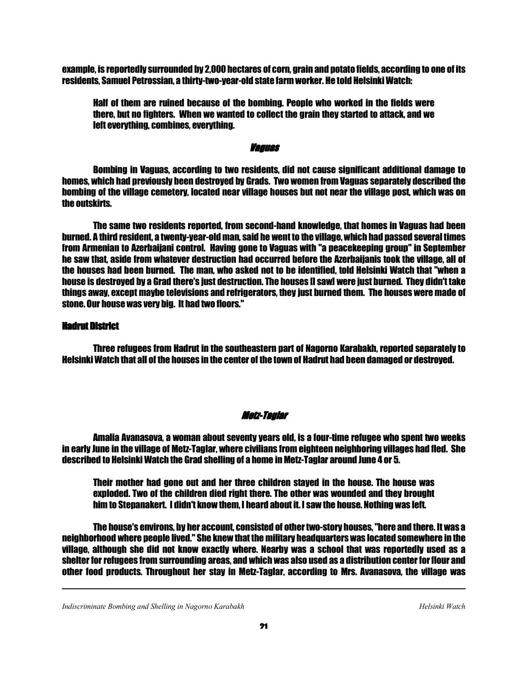example, is reportedly surrounded by 2,000 hectares of corn, grain and potato fields, according to one of its residents, Samuel Petrossian, a thirty-two-year-old state farm worker. He told Helsinki Watch:

 Half of them are ruined because of the bombing. People who worked in the fields were there, but no fighters. When we wanted to collect the grain they started to attack, and we left everything, combines, everything.

## Vaguas

 Bombing in Vaguas, according to two residents, did not cause significant additional damage to homes, which had previously been destroyed by Grads. Two women from Vaguas separately described the bombing of the village cemetery, located near village houses but not near the village post, which was on the outskirts.

 The same two residents reported, from second-hand knowledge, that homes in Vaguas had been burned. A third resident, a twenty-year-old man, said he went to the village, which had passed several times from Armenian to Azerbaijani control. Having gone to Vaguas with "a peacekeeping group" in September he saw that, aside from whatever destruction had occurred before the Azerbaijanis took the village, all of the houses had been burned. The man, who asked not to be identified, told Helsinki Watch that "when a house is destroyed by a Grad there's just destruction. The houses [I saw] were just burned. They didn't take things away, except maybe televisions and refrigerators, they just burned them. The houses were made of stone. Our house was very big. It had two floors."

# **Hadrut District**

1

 Three refugees from Hadrut in the southeastern part of Nagorno Karabakh, reported separately to Helsinki Watch that all of the houses in the center of the town of Hadrut had been damaged or destroyed.

# Metz-Taglar

 Amalia Avanasova, a woman about seventy years old, is a four-time refugee who spent two weeks in early June in the village of Metz-Taglar, where civilians from eighteen neighboring villages had fled. She described to Helsinki Watch the Grad shelling of a home in Metz-Taglar around June 4 or 5.

 Their mother had gone out and her three children stayed in the house. The house was exploded. Two of the children died right there. The other was wounded and they brought him to Stepanakert. I didn't know them, I heard about it. I saw the house. Nothing was left.

 The house's environs, by her account, consisted of other two-story houses, "here and there. It was a neighborhood where people lived." She knew that the military headquarters was located somewhere in the village, although she did not know exactly where. Nearby was a school that was reportedly used as a shelter for refugees from surrounding areas, and which was also used as a distribution center for flour and other food products. Throughout her stay in Metz-Taglar, according to Mrs. Avanasova, the village was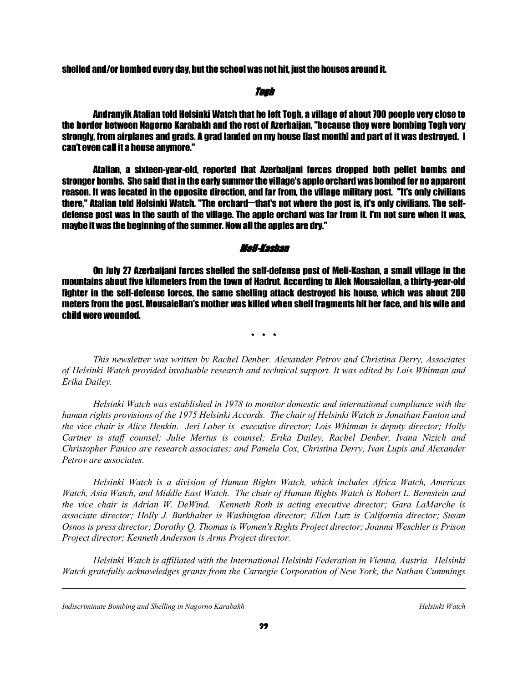shelled and/or bombed every day, but the school was not hit, just the houses around it.

## the contract of the contract of the contract of the contract of the contract of the contract of the contract of the contract of the contract of the contract of the contract of the contract of the contract of the contract o

 Andranyik Atalian told Helsinki Watch that he left Togh, a village of about 700 people very close to the border between Nagorno Karabakh and the rest of Azerbaijan, "because they were bombing Togh very strongly, from airplanes and grads. A grad landed on my house [last month] and part of it was destroyed. I can't even call it a house anymore."

 Atalian, a sixteen-year-old, reported that Azerbaijani forces dropped both pellet bombs and stronger bombs. She said that in the early summer the village's apple orchard was bombed for no apparent reason. It was located in the opposite direction, and far from, the village military post. "It's only civilians there," Atalian told Helsinki Watch. "The orchard—that's not where the post is, it's only civilians. The selfdefense post was in the south of the village. The apple orchard was far from it. I'm not sure when it was, maybe it was the beginning of the summer. Now all the apples are dry."

# Meli-Kashan

 On July 27 Azerbaijani forces shelled the self-defense post of Meli-Kashan, a small village in the mountains about five kilometers from the town of Hadrut. According to Alek Mousaiellan, a thirty-year-old fighter in the self-defense forces, the same shelling attack destroyed his house, which was about 200 meters from the post. Mousaiellan's mother was killed when shell fragments hit her face, and his wife and child were wounded.

\* \* \* \* \*

 *This newsletter was written by Rachel Denber. Alexander Petrov and Christina Derry, Associates of Helsinki Watch provided invaluable research and technical support. It was edited by Lois Whitman and Erika Dailey.* 

 *Helsinki Watch was established in 1978 to monitor domestic and international compliance with the human rights provisions of the 1975 Helsinki Accords. The chair of Helsinki Watch is Jonathan Fanton and the vice chair is Alice Henkin. Jeri Laber is executive director; Lois Whitman is deputy director; Holly Cartner is staff counsel; Julie Mertus is counsel; Erika Dailey, Rachel Denber, Ivana Nizich and Christopher Panico are research associates; and Pamela Cox, Christina Derry, Ivan Lupis and Alexander Petrov are associates.* 

 *Helsinki Watch is a division of Human Rights Watch, which includes Africa Watch, Americas Watch, Asia Watch, and Middle East Watch. The chair of Human Rights Watch is Robert L. Bernstein and the vice chair is Adrian W. DeWind. Kenneth Roth is acting executive director; Gara LaMarche is associate director; Holly J. Burkhalter is Washington director; Ellen Lutz is California director; Susan Osnos is press director; Dorothy Q. Thomas is Women's Rights Project director; Joanna Weschler is Prison Project director; Kenneth Anderson is Arms Project director.* 

 *Helsinki Watch is affiliated with the International Helsinki Federation in Vienna, Austria. Helsinki Watch gratefully acknowledges grants from the Carnegie Corporation of New York, the Nathan Cummings* 

*Indiscriminate Bombing and Shelling in Nagorno Karabakh* Helsinki Watch **Helsinki Watch** *Helsinki Watch*